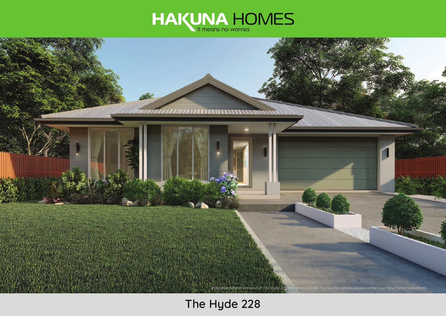



# **The Hyde 228**